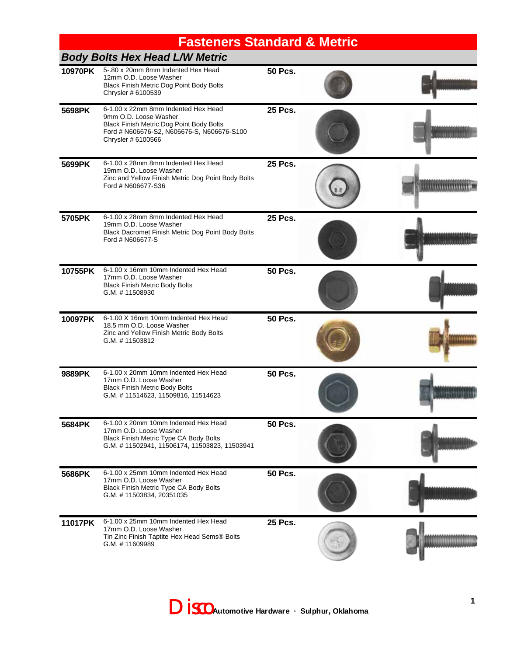# **Fasteners Standard & Metric**

|         | <b>Body Bolts Hex Head L/W Metric</b>                                                                                                                                        |                |              |
|---------|------------------------------------------------------------------------------------------------------------------------------------------------------------------------------|----------------|--------------|
| 10970PK | 5-.80 x 20mm 8mm Indented Hex Head<br>12mm O.D. Loose Washer<br>Black Finish Metric Dog Point Body Bolts<br>Chrysler # 6100539                                               | <b>50 Pcs.</b> |              |
| 5698PK  | 6-1.00 x 22mm 8mm Indented Hex Head<br>9mm O.D. Loose Washer<br>Black Finish Metric Dog Point Body Bolts<br>Ford # N606676-S2, N606676-S, N606676-S100<br>Chrysler # 6100566 | <b>25 Pcs.</b> | 101000000000 |
| 5699PK  | 6-1.00 x 28mm 8mm Indented Hex Head<br>19mm O.D. Loose Washer<br>Zinc and Yellow Finish Metric Dog Point Body Bolts<br>Ford # N606677-S36                                    | <b>25 Pcs.</b> |              |
| 5705PK  | 6-1.00 x 28mm 8mm Indented Hex Head<br>19mm O.D. Loose Washer<br>Black Dacromet Finish Metric Dog Point Body Bolts<br>Ford # N606677-S                                       | <b>25 Pcs.</b> |              |
| 10755PK | 6-1.00 x 16mm 10mm Indented Hex Head<br>17mm O.D. Loose Washer<br><b>Black Finish Metric Body Bolts</b><br>G.M. #11508930                                                    | <b>50 Pcs.</b> |              |
| 10097PK | 6-1.00 X 16mm 10mm Indented Hex Head<br>18.5 mm O.D. Loose Washer<br>Zinc and Yellow Finish Metric Body Bolts<br>G.M. #11503812                                              | <b>50 Pcs.</b> |              |
| 9889PK  | 6-1.00 x 20mm 10mm Indented Hex Head<br>17mm O.D. Loose Washer<br><b>Black Finish Metric Body Bolts</b><br>G.M. #11514623, 11509816, 11514623                                | <b>50 Pcs.</b> |              |
| 5684PK  | 6-1.00 x 20mm 10mm Indented Hex Head<br>17mm O.D. Loose Washer<br>Black Finish Metric Type CA Body Bolts<br>G.M. #11502941, 11506174, 11503823, 11503941                     | <b>50 Pcs.</b> |              |
| 5686PK  | 6-1.00 x 25mm 10mm Indented Hex Head<br>17mm O.D. Loose Washer<br>Black Finish Metric Type CA Body Bolts<br>G.M. #11503834, 20351035                                         | <b>50 Pcs.</b> |              |
| 11017PK | 6-1.00 x 25mm 10mm Indented Hex Head<br>17mm O.D. Loose Washer<br>Tin Zinc Finish Taptite Hex Head Sems® Bolts<br>G.M. #11609989                                             | <b>25 Pcs.</b> |              |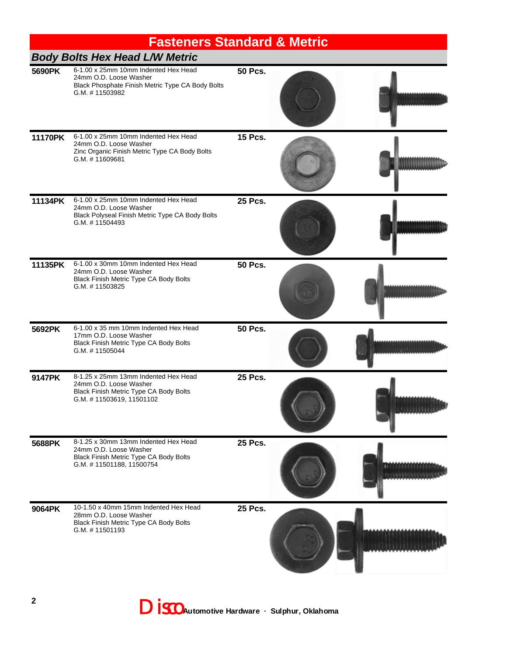|         | <b>Fasteners Standard &amp; Metric</b>                                                                                               |                |                    |
|---------|--------------------------------------------------------------------------------------------------------------------------------------|----------------|--------------------|
|         | <b>Body Bolts Hex Head L/W Metric</b>                                                                                                |                |                    |
| 5690PK  | 6-1.00 x 25mm 10mm Indented Hex Head<br>24mm O.D. Loose Washer<br>Black Phosphate Finish Metric Type CA Body Bolts<br>G.M. #11503982 | <b>50 Pcs.</b> |                    |
| 11170PK | 6-1.00 x 25mm 10mm Indented Hex Head<br>24mm O.D. Loose Washer<br>Zinc Organic Finish Metric Type CA Body Bolts<br>G.M. #11609681    | <b>15 Pcs.</b> |                    |
| 11134PK | 6-1.00 x 25mm 10mm Indented Hex Head<br>24mm O.D. Loose Washer<br>Black Polyseal Finish Metric Type CA Body Bolts<br>G.M. #11504493  | <b>25 Pcs.</b> |                    |
| 11135PK | 6-1.00 x 30mm 10mm Indented Hex Head<br>24mm O.D. Loose Washer<br>Black Finish Metric Type CA Body Bolts<br>G.M. #11503825           | <b>50 Pcs.</b> |                    |
| 5692PK  | 6-1.00 x 35 mm 10mm Indented Hex Head<br>17mm O.D. Loose Washer<br>Black Finish Metric Type CA Body Bolts<br>G.M. #11505044          | <b>50 Pcs.</b> |                    |
| 9147PK  | 8-1.25 x 25mm 13mm Indented Hex Head<br>24mm O.D. Loose Washer<br>Black Finish Metric Type CA Body Bolts<br>G.M. #11503619, 11501102 | <b>25 Pcs.</b> |                    |
| 5688PK  | 8-1.25 x 30mm 13mm Indented Hex Head<br>24mm O.D. Loose Washer<br>Black Finish Metric Type CA Body Bolts<br>G.M. #11501188, 11500754 | <b>25 Pcs.</b> | 161916161618181518 |
| 9064PK  | 10-1.50 x 40mm 15mm Indented Hex Head<br>28mm O.D. Loose Washer<br>Black Finish Metric Type CA Body Bolts<br>G.M. #11501193          | <b>25 Pcs.</b> |                    |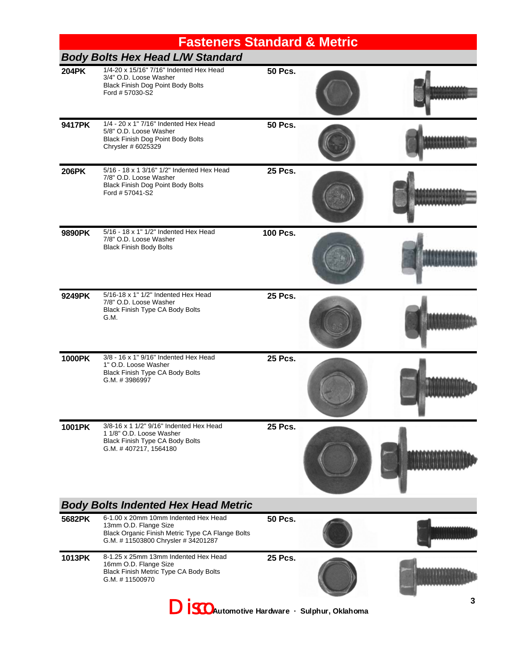|                                                           | <b>Fasteners Standard &amp; Metric</b>                                                                                                                 |                |  |  |  |  |
|-----------------------------------------------------------|--------------------------------------------------------------------------------------------------------------------------------------------------------|----------------|--|--|--|--|
|                                                           | <b>Body Bolts Hex Head L/W Standard</b>                                                                                                                |                |  |  |  |  |
| <b>204PK</b>                                              | 1/4-20 x 15/16" 7/16" Indented Hex Head<br>3/4" O.D. Loose Washer<br>Black Finish Dog Point Body Bolts<br>Ford # 57030-S2                              | <b>50 Pcs.</b> |  |  |  |  |
| 9417PK                                                    | 1/4 - 20 x 1" 7/16" Indented Hex Head<br>5/8" O.D. Loose Washer<br>Black Finish Dog Point Body Bolts<br>Chrysler # 6025329                             | <b>50 Pcs.</b> |  |  |  |  |
| <b>206PK</b>                                              | 5/16 - 18 x 1 3/16" 1/2" Indented Hex Head<br>7/8" O.D. Loose Washer<br>Black Finish Dog Point Body Bolts<br>Ford # 57041-S2                           | <b>25 Pcs.</b> |  |  |  |  |
| 9890PK                                                    | 5/16 - 18 x 1" 1/2" Indented Hex Head<br>7/8" O.D. Loose Washer<br><b>Black Finish Body Bolts</b>                                                      | 100 Pcs.       |  |  |  |  |
| 9249PK                                                    | 5/16-18 x 1" 1/2" Indented Hex Head<br>7/8" O.D. Loose Washer<br>Black Finish Type CA Body Bolts<br>G.M.                                               | <b>25 Pcs.</b> |  |  |  |  |
| 1000PK                                                    | 3/8 - 16 x 1" 9/16" Indented Hex Head<br>1" O.D. Loose Washer<br>Black Finish Type CA Body Bolts<br>G.M. #3986997                                      | <b>25 Pcs.</b> |  |  |  |  |
| 1001PK                                                    | 3/8-16 x 1 1/2" 9/16" Indented Hex Head<br>1 1/8" O.D. Loose Washer<br><b>Black Finish Type CA Body Bolts</b><br>G.M. #407217, 1564180                 | <b>25 Pcs.</b> |  |  |  |  |
| <b>Body Bolts Indented Hex Head Metric</b>                |                                                                                                                                                        |                |  |  |  |  |
| 5682PK                                                    | 6-1.00 x 20mm 10mm Indented Hex Head<br>13mm O.D. Flange Size<br>Black Organic Finish Metric Type CA Flange Bolts<br>G.M. #11503800 Chrysler #34201287 | <b>50 Pcs.</b> |  |  |  |  |
| 1013PK                                                    | 8-1.25 x 25mm 13mm Indented Hex Head<br>16mm O.D. Flange Size<br>Black Finish Metric Type CA Body Bolts<br>G.M. #11500970                              | <b>25 Pcs.</b> |  |  |  |  |
| 3<br><b>DISCO</b> Automotive Hardware · Sulphur, Oklahoma |                                                                                                                                                        |                |  |  |  |  |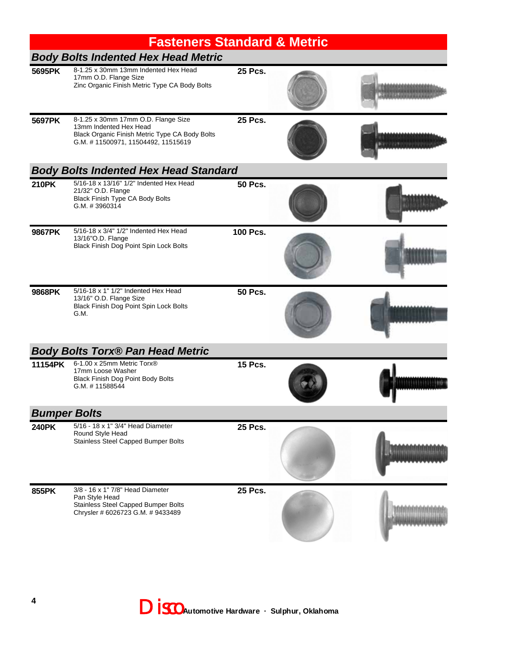|              | <b>Fasteners Standard &amp; Metric</b>                                                                                                                |                 |  |                          |  |  |
|--------------|-------------------------------------------------------------------------------------------------------------------------------------------------------|-----------------|--|--------------------------|--|--|
|              | <b>Body Bolts Indented Hex Head Metric</b>                                                                                                            |                 |  |                          |  |  |
| 5695PK       | 8-1.25 x 30mm 13mm Indented Hex Head<br>17mm O.D. Flange Size<br>Zinc Organic Finish Metric Type CA Body Bolts                                        | <b>25 Pcs.</b>  |  |                          |  |  |
| 5697PK       | 8-1.25 x 30mm 17mm O.D. Flange Size<br>13mm Indented Hex Head<br>Black Organic Finish Metric Type CA Body Bolts<br>G.M. #11500971, 11504492, 11515619 | <b>25 Pcs.</b>  |  | <b>SPEED EXPERIENCES</b> |  |  |
|              | <b>Body Bolts Indented Hex Head Standard</b>                                                                                                          |                 |  |                          |  |  |
| <b>210PK</b> | 5/16-18 x 13/16" 1/2" Indented Hex Head<br>21/32" O.D. Flange<br>Black Finish Type CA Body Bolts<br>G.M. #3960314                                     | <b>50 Pcs.</b>  |  |                          |  |  |
| 9867PK       | 5/16-18 x 3/4" 1/2" Indented Hex Head<br>13/16"O.D. Flange<br>Black Finish Dog Point Spin Lock Bolts                                                  | <b>100 Pcs.</b> |  |                          |  |  |
| 9868PK       | 5/16-18 x 1" 1/2" Indented Hex Head<br>13/16" O.D. Flange Size<br>Black Finish Dog Point Spin Lock Bolts<br>G.M.                                      | <b>50 Pcs.</b>  |  |                          |  |  |
|              | <b>Body Bolts Torx® Pan Head Metric</b>                                                                                                               |                 |  |                          |  |  |
| 11154PK      | 6-1.00 x 25mm Metric Torx®<br>17mm Loose Washer<br>Black Finish Dog Point Body Bolts<br>G.M. #11588544                                                | <b>15 Pcs.</b>  |  |                          |  |  |
|              | <b>Bumper Bolts</b>                                                                                                                                   |                 |  |                          |  |  |
| <b>240PK</b> | 5/16 - 18 x 1" 3/4" Head Diameter<br>Round Style Head<br>Stainless Steel Capped Bumper Bolts                                                          | 25 Pcs.         |  |                          |  |  |
| 855PK        | 3/8 - 16 x 1" 7/8" Head Diameter<br>Pan Style Head<br>Stainless Steel Capped Bumper Bolts<br>Chrysler # 6026723 G.M. # 9433489                        | 25 Pcs.         |  |                          |  |  |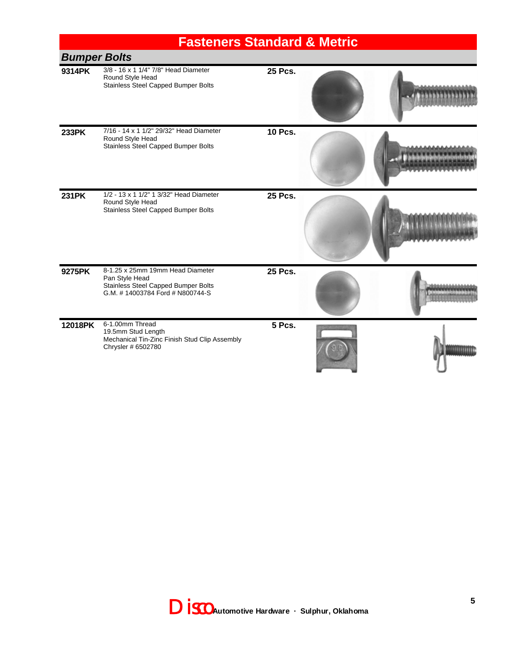|                     | <b>Fasteners Standard &amp; Metric</b>                                                                                      |                |  |  |  |
|---------------------|-----------------------------------------------------------------------------------------------------------------------------|----------------|--|--|--|
| <b>Bumper Bolts</b> |                                                                                                                             |                |  |  |  |
| 9314PK              | 3/8 - 16 x 1 1/4" 7/8" Head Diameter<br>Round Style Head<br>Stainless Steel Capped Bumper Bolts                             | <b>25 Pcs.</b> |  |  |  |
| <b>233PK</b>        | 7/16 - 14 x 1 1/2" 29/32" Head Diameter<br>Round Style Head<br>Stainless Steel Capped Bumper Bolts                          | <b>10 Pcs.</b> |  |  |  |
| <b>231PK</b>        | 1/2 - 13 x 1 1/2" 1 3/32" Head Diameter<br>Round Style Head<br>Stainless Steel Capped Bumper Bolts                          | 25 Pcs.        |  |  |  |
| 9275PK              | 8-1.25 x 25mm 19mm Head Diameter<br>Pan Style Head<br>Stainless Steel Capped Bumper Bolts<br>G.M. #14003784 Ford #N800744-S | <b>25 Pcs.</b> |  |  |  |
| 12018PK             | 6-1.00mm Thread<br>19.5mm Stud Length<br>Mechanical Tin-Zinc Finish Stud Clip Assembly<br>Chrysler # 6502780                | 5 Pcs.         |  |  |  |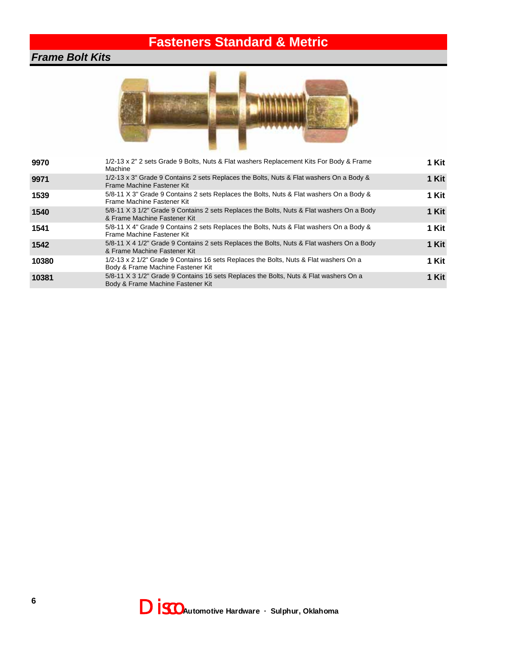## **Fasteners Standard & Metric**

#### *Frame Bolt Kits*



| 9970  | 1/2-13 x 2" 2 sets Grade 9 Bolts, Nuts & Flat washers Replacement Kits For Body & Frame<br>Machine                         | 1 Kit    |
|-------|----------------------------------------------------------------------------------------------------------------------------|----------|
| 9971  | 1/2-13 x 3" Grade 9 Contains 2 sets Replaces the Bolts, Nuts & Flat washers On a Body &<br>Frame Machine Fastener Kit      | 1 Kit    |
| 1539  | 5/8-11 X 3" Grade 9 Contains 2 sets Replaces the Bolts, Nuts & Flat washers On a Body &<br>Frame Machine Fastener Kit      | 1 Kit    |
| 1540  | 5/8-11 X 3 1/2" Grade 9 Contains 2 sets Replaces the Bolts, Nuts & Flat washers On a Body<br>& Frame Machine Fastener Kit  | 1 Kit    |
| 1541  | 5/8-11 X 4" Grade 9 Contains 2 sets Replaces the Bolts, Nuts & Flat washers On a Body &<br>Frame Machine Fastener Kit      | 1 Kit    |
| 1542  | 5/8-11 X 4 1/2" Grade 9 Contains 2 sets Replaces the Bolts, Nuts & Flat washers On a Body<br>& Frame Machine Fastener Kit  | 1 Kit    |
| 10380 | 1/2-13 x 2 1/2" Grade 9 Contains 16 sets Replaces the Bolts, Nuts & Flat washers On a<br>Body & Frame Machine Fastener Kit | 1 Kit    |
| 10381 | 5/8-11 X 3 1/2" Grade 9 Contains 16 sets Replaces the Bolts, Nuts & Flat washers On a<br>Body & Frame Machine Fastener Kit | Kit<br>1 |